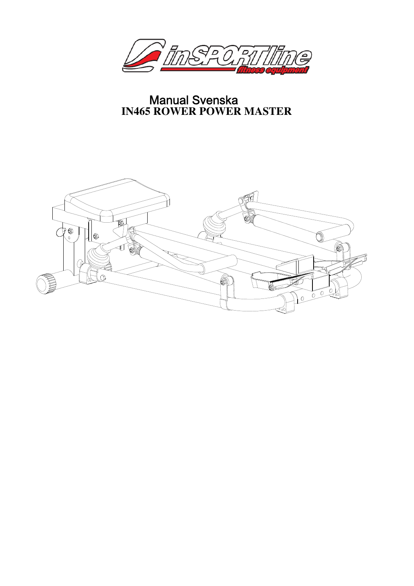

#### **Janual Svenska IN465 ROWER POWER MASTER**  Manual Svenska

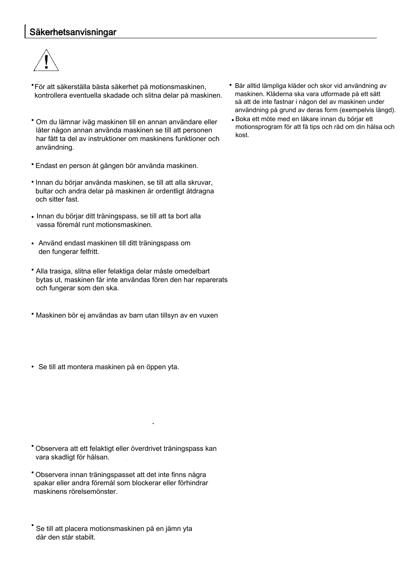#### **Safety Instructions** Säkerhetsanvisningar



- \*För att säkerställa bästa säkerhet på motionsmaskinen, kontrollera eventuella skadade och slitna delar på maskinen.
- Om du lämnar iväg maskinen till en annan användare eller låter någon annan använda maskinen se till att personen har fått ta del av instruktioner om maskinens funktioner och användning. These instructions in the set in the set in the set in the set in the set in the set in the set in
- Endast en person åt gången bör använda maskinen.
- Innan du börjar använda maskinen, se till att alla skruvar, bultar och andra delar på maskinen är ordentligt åtdragna och sitter fast.
- $\bullet$  Innan du börjar ditt träningspass, se till att ta bort alla vassa föremål runt motionsmaskinen.
- $\bullet~$  Använd endast maskinen till ditt träningspass om den fungerar felfritt.
- Alla trasiga, slitna eller felaktiga delar måste omedelbart bytas ut, maskinen får inte användas fören den har reparerats och fungerar som den ska.
- Maskinen bör ej användas av barn utan tillsyn av en vuxen
- $\bullet~$  Se till att montera maskinen på en öppen yta.

exerciser. The exerciser is not a toy.

- \* Observera att ett felaktigt eller överdrivet träningspass kan vara skadligt för hälsan.
- \* Observera innan träningspasset att det inte finns några spakar eller andra föremål som blockerar eller förhindrar maskinens rörelsemönster.
- $\degree$  Se till att placera motionsmaskinen på en jämn yta work-out may be harmful to your health. där den står stabilt.
- Bär alltid lämpliga kläder och skor vid användning av mechanisms are not projecting into the area of Kläderna ska vara utformade på ett sätt så att de inte fastnar maskinen. Kläderna ska vara utformade på ett sätt maskinen. Naderna skå vara dubiniade på ett satt<br>så att de inte fastnar i någon del av maskinen under så att de inte fastnar i någon del av maskinen under användning på grund av deras form (exempelvis längd).
- Boka ett möte med en läkare innan du börjar ett motionsprogram för att få tips och råd om din hälsa och<br>'  $W(X)$  and the uneventor  $U(X)$  of the uneventor  $U(X)$ kost.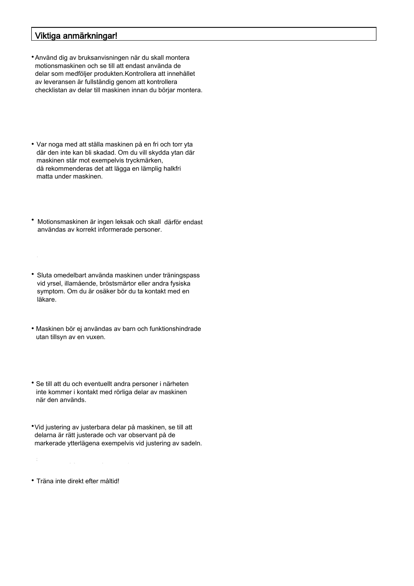#### **Viktiga anmärkningar!**

- Använd dig av bruksanvisningen när du skall montera motionsmaskinen och se till att endast använda de structural parts provided with the exerciser and av leveransen är fullständig genom att kontrollera checklistan av delar till maskinen innan du börjar montera. delar som medföljer produkten.Kontrollera att innehållet
- Var noga med att ställa maskinen på en fri och torr yta där den inte kan bli skadad. Om du vill skydda ytan där<br>. masitimen star met enemperne trysitimariten;<br>då rekommenderas det att lägga en lämplig halkfri matta under maskinen. maskinen står mot exempelvis tryckmärken,
- Motionsmaskinen är ingen leksak och skall därför endast användas av korrekt informerade personer.
- Sluta omedelbart använda maskinen under träningspass vid yrsel, illamående, bröstsmärtor eller andra fysiska symptom. Om du är osäker bör du ta kontakt med en<br>läkare läkare.
- Maskinen bör ej användas av barn och funktionshindrade utan tillsyn av en vuxen.
- \* Se till att du och eventuellt andra personer i närheten inte kommer i kontakt med rörliga delar av maskinen när den används.
- Vid justering av justerbara delar på maskinen, se till att delarna är rätt justerade och var observant på de markerade ytterlägena exempelvis vid justering av sadeln.<br>.
- Träna inte direkt efter måltid!

saddle support, respectively.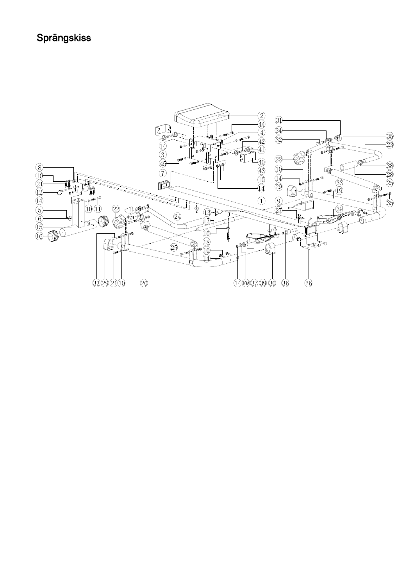### **Exploded Drawing**  Sprängskiss

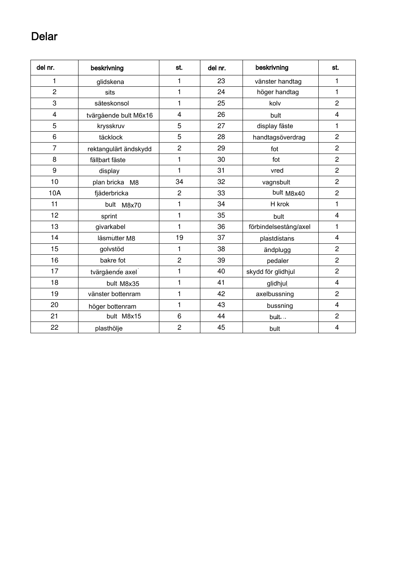# Delar

| del nr.        | beskrivning                   | st.            | del nr. | beskrivning           | st.                     |
|----------------|-------------------------------|----------------|---------|-----------------------|-------------------------|
| 1              | glidskena                     | $\mathbf{1}$   | 23      | vänster handtag       | 1                       |
| $\overline{c}$ | sits                          | $\mathbf{1}$   | 24      | höger handtag         | 1                       |
| 3              | säteskonsol                   | $\mathbf{1}$   | 25      | kolv                  | $\overline{c}$          |
| 4              | tvärgående bult M6x16         | 4              | 26      | bult                  | $\overline{\mathbf{4}}$ |
| 5              | krysskruv                     | 5              | 27      | display fäste         | 1                       |
| 6              | täcklock                      | 5              | 28      | handtagsöverdrag      | $\overline{c}$          |
| $\overline{7}$ | rektangulärt ändskydd         | $\overline{c}$ | 29      | fot                   | $\overline{c}$          |
| 8              | fällbart fäste                | $\mathbf{1}$   | 30      | fot                   | $\overline{c}$          |
| 9              | display                       | $\mathbf{1}$   | 31      | vred                  | $\overline{2}$          |
| 10             | plan bricka<br>M <sub>8</sub> | 34             | 32      | vagnsbult             | $\overline{c}$          |
| 10A            | fjäderbricka                  | $\overline{c}$ | 33      | bult M8x40            | $\overline{c}$          |
| 11             | bult<br>M8x70                 | $\mathbf{1}$   | 34      | H krok                | 1                       |
| 12             | sprint                        | 1              | 35      | bult                  | 4                       |
| 13             | givarkabel                    | 1              | 36      | förbindelsestång/axel | 1                       |
| 14             | låsmutter M8                  | 19             | 37      | plastdistans          | $\overline{\mathbf{4}}$ |
| 15             | golvstöd                      | 1              | 38      | ändplugg              | $\overline{c}$          |
| 16             | bakre fot                     | $\overline{c}$ | 39      | pedaler               | $\overline{c}$          |
| 17             | tvärgående axel               | 1              | 40      | skydd för glidhjul    | $\overline{2}$          |
| 18             | bult-M8x35                    | $\mathbf{1}$   | 41      | glidhjul              | 4                       |
| 19             | vänster bottenram             | $\mathbf{1}$   | 42      | axelbussning          | $\overline{2}$          |
| 20             | höger bottenram               | $\mathbf{1}$   | 43      | bussning              | 4                       |
| 21             | bult M8x15                    | 6              | 44      | bult                  | $\overline{c}$          |
| 22             | plasthölje                    | $\overline{c}$ | 45      | bult                  | 4                       |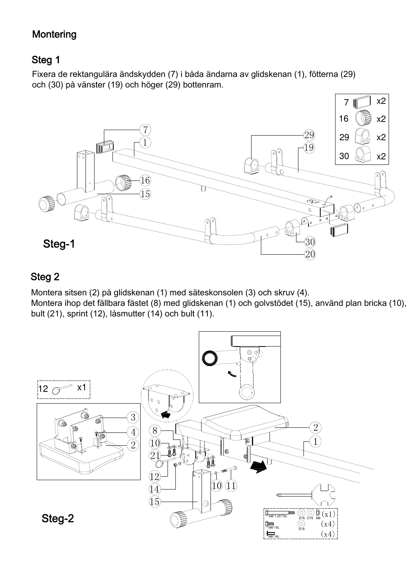# **Montering**

## **Step 1**  Steg 1

Fixera de rektangulära ändskydden (7) i båda ändarna av glidskenan (1), fötterna (29) och (30) på vänster (19) och höger (29) bottenram.



### **Step 2**  Steg 2

Montera sitsen (2) på glidskenan (1) med säteskonsolen (3) och skruv (4). Montera ihop det fällbara fästet (8) med glidskenan (1) och golvstödet (15), använd plan bricka (10), bult (21), sprint (12), låsmutter (14) och bult (11).

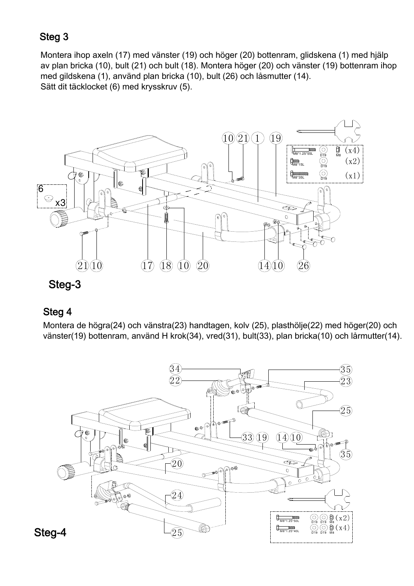## **Step 3**  Steg 3

Montera ihop axeln (17) med vänster (19) och höger (20) bottenram, glidskena (1) med hjälp av plan bricka (10), bult (21) och bult (18). Montera höger (20) och vänster (19) bottenram ihop med gildskena (1), använd plan bricka (10), bult (26) och låsmutter (14). Sätt dit täcklocket (6) med krysskruv (5).



**STEP-3** Steg-3

#### **Step 4**  Steg 4

Montera de högra(24) och vänstra(23) handtagen, kolv (25), plasthölje(22) med höger(20) och vänster(19) bottenram, använd H krok(34), vred(31), bult(33), plan bricka(10) och lårmutter(14).

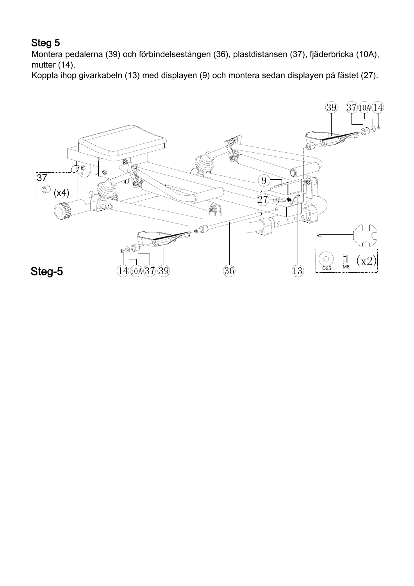## **Step 5** Steg 5

Montera pedalerna (39) och förbindelsestången (36), plastdistansen (37), fjäderbricka (10A),  $\mathsf{mutter}\ (14)$ . mutter (14).

Koppla ihop givarkabeln (13) med displayen (9) och montera sedan displayen på fästet (27).